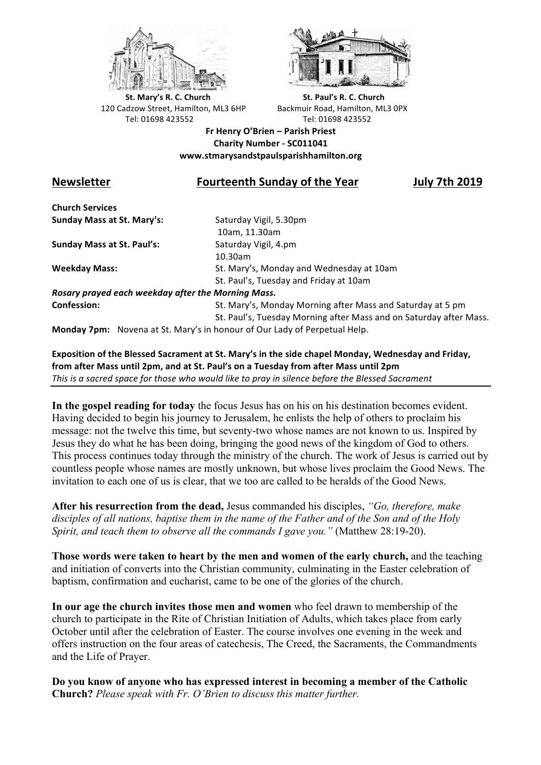



**St.** Mary's R. C. Church St. Paul's R. C. Church 120 Cadzow Street, Hamilton, ML3 6HP Backmuir Road, Hamilton, ML3 0PX Tel: 01698 423552 Tel: 01698 423552

**Fr Henry O'Brien – Parish Priest Charity Number - SC011041 www.stmarysandstpaulsparishhamilton.org**

## **Newsletter Fourteenth Sunday of the Year July 7th 2019**

**Church Services Sunday Mass at St. Mary's:** Saturday Vigil, 5.30pm

**Sunday Mass at St. Paul's:** Saturday Vigil, 4.pm

 10am, 11.30am 10.30am **Weekday Mass:** St. Mary's, Monday and Wednesday at 10am St. Paul's, Tuesday and Friday at 10am

*Rosary prayed each weekday after the Morning Mass.* **Confession:** St. Mary's, Monday Morning after Mass and Saturday at 5 pm

St. Paul's, Tuesday Morning after Mass and on Saturday after Mass.

**Monday 7pm:** Novena at St. Mary's in honour of Our Lady of Perpetual Help.

Exposition of the Blessed Sacrament at St. Mary's in the side chapel Monday, Wednesday and Friday, from after Mass until 2pm, and at St. Paul's on a Tuesday from after Mass until 2pm This is a sacred space for those who would like to pray in silence before the Blessed Sacrament

**In the gospel reading for today** the focus Jesus has on his on his destination becomes evident. Having decided to begin his journey to Jerusalem, he enlists the help of others to proclaim his message: not the twelve this time, but seventy-two whose names are not known to us. Inspired by Jesus they do what he has been doing, bringing the good news of the kingdom of God to others. This process continues today through the ministry of the church. The work of Jesus is carried out by countless people whose names are mostly unknown, but whose lives proclaim the Good News. The invitation to each one of us is clear, that we too are called to be heralds of the Good News.

**After his resurrection from the dead,** Jesus commanded his disciples, *"Go, therefore, make disciples of all nations, baptise them in the name of the Father and of the Son and of the Holy Spirit, and teach them to observe all the commands I gave you."* (Matthew 28:19-20).

**Those words were taken to heart by the men and women of the early church,** and the teaching and initiation of converts into the Christian community, culminating in the Easter celebration of baptism, confirmation and eucharist, came to be one of the glories of the church.

**In our age the church invites those men and women** who feel drawn to membership of the church to participate in the Rite of Christian Initiation of Adults, which takes place from early October until after the celebration of Easter. The course involves one evening in the week and offers instruction on the four areas of catechesis, The Creed, the Sacraments, the Commandments and the Life of Prayer.

**Do you know of anyone who has expressed interest in becoming a member of the Catholic Church?** *Please speak with Fr. O'Brien to discuss this matter further.*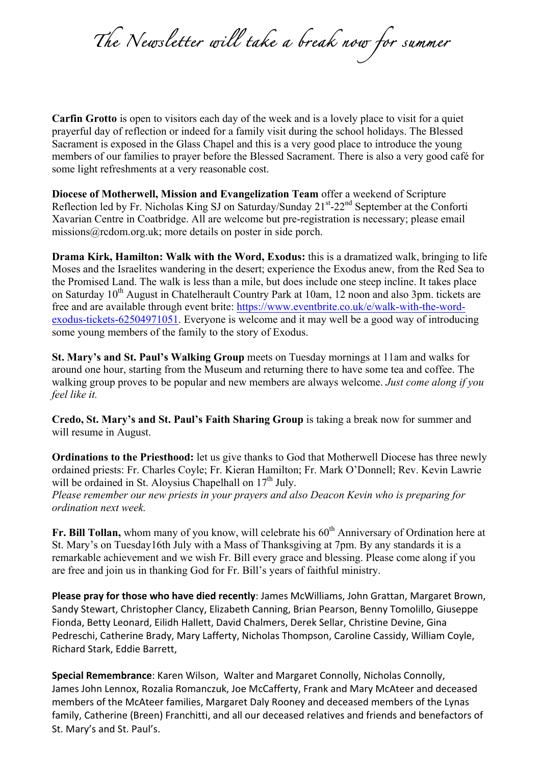*The Newsletter will take a break now for summer* 

**Carfin Grotto** is open to visitors each day of the week and is a lovely place to visit for a quiet prayerful day of reflection or indeed for a family visit during the school holidays. The Blessed Sacrament is exposed in the Glass Chapel and this is a very good place to introduce the young members of our families to prayer before the Blessed Sacrament. There is also a very good café for some light refreshments at a very reasonable cost.

**Diocese of Motherwell, Mission and Evangelization Team** offer a weekend of Scripture Reflection led by Fr. Nicholas King SJ on Saturday/Sunday 21<sup>st</sup>-22<sup>nd</sup> September at the Conforti Xavarian Centre in Coatbridge. All are welcome but pre-registration is necessary; please email missions@rcdom.org.uk; more details on poster in side porch.

**Drama Kirk, Hamilton: Walk with the Word, Exodus:** this is a dramatized walk, bringing to life Moses and the Israelites wandering in the desert; experience the Exodus anew, from the Red Sea to the Promised Land. The walk is less than a mile, but does include one steep incline. It takes place on Saturday 10<sup>th</sup> August in Chatelherault Country Park at 10am, 12 noon and also 3pm. tickets are free and are available through event brite: https://www.eventbrite.co.uk/e/walk-with-the-wordexodus-tickets-62504971051. Everyone is welcome and it may well be a good way of introducing some young members of the family to the story of Exodus.

**St. Mary's and St. Paul's Walking Group** meets on Tuesday mornings at 11am and walks for around one hour, starting from the Museum and returning there to have some tea and coffee. The walking group proves to be popular and new members are always welcome. *Just come along if you feel like it.*

**Credo, St. Mary's and St. Paul's Faith Sharing Group** is taking a break now for summer and will resume in August.

**Ordinations to the Priesthood:** let us give thanks to God that Motherwell Diocese has three newly ordained priests: Fr. Charles Coyle; Fr. Kieran Hamilton; Fr. Mark O'Donnell; Rev. Kevin Lawrie will be ordained in St. Aloysius Chapelhall on  $17<sup>th</sup>$  July.

*Please remember our new priests in your prayers and also Deacon Kevin who is preparing for ordination next week.*

**Fr. Bill Tollan,** whom many of you know, will celebrate his 60<sup>th</sup> Anniversary of Ordination here at St. Mary's on Tuesday16th July with a Mass of Thanksgiving at 7pm. By any standards it is a remarkable achievement and we wish Fr. Bill every grace and blessing. Please come along if you are free and join us in thanking God for Fr. Bill's years of faithful ministry.

**Please pray for those who have died recently**: James McWilliams, John Grattan, Margaret Brown, Sandy Stewart, Christopher Clancy, Elizabeth Canning, Brian Pearson, Benny Tomolillo. Giuseppe Fionda, Betty Leonard, Eilidh Hallett, David Chalmers, Derek Sellar, Christine Devine, Gina Pedreschi, Catherine Brady, Mary Lafferty, Nicholas Thompson, Caroline Cassidy, William Coyle, Richard Stark, Eddie Barrett,

**Special Remembrance**: Karen Wilson, Walter and Margaret Connolly, Nicholas Connolly, James John Lennox, Rozalia Romanczuk, Joe McCafferty, Frank and Mary McAteer and deceased members of the McAteer families, Margaret Daly Rooney and deceased members of the Lynas family, Catherine (Breen) Franchitti, and all our deceased relatives and friends and benefactors of St. Mary's and St. Paul's.